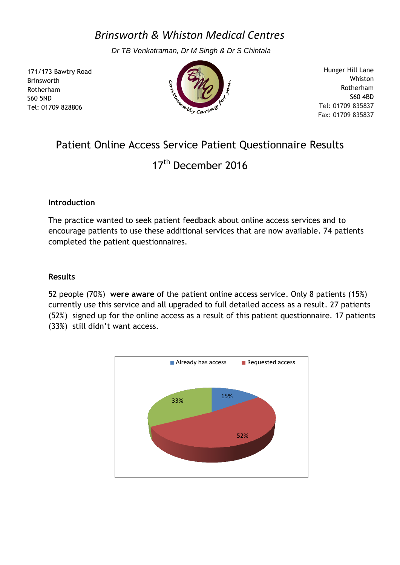*Brinsworth & Whiston Medical Centres*

*Dr TB Venkatraman, Dr M Singh & Dr S Chintala*

171/173 Bawtry Road Brinsworth Rotherham S60 5ND Tel: 01709 828806



Hunger Hill Lane Whiston Rotherham S60 4BD Tel: 01709 835837 Fax: 01709 835837

## Patient Online Access Service Patient Questionnaire Results

17<sup>th</sup> December 2016

## **Introduction**

The practice wanted to seek patient feedback about online access services and to encourage patients to use these additional services that are now available. 74 patients completed the patient questionnaires.

## **Results**

52 people (70%) **were aware** of the patient online access service. Only 8 patients (15%) currently use this service and all upgraded to full detailed access as a result. 27 patients (52%) signed up for the online access as a result of this patient questionnaire. 17 patients (33%) still didn't want access.

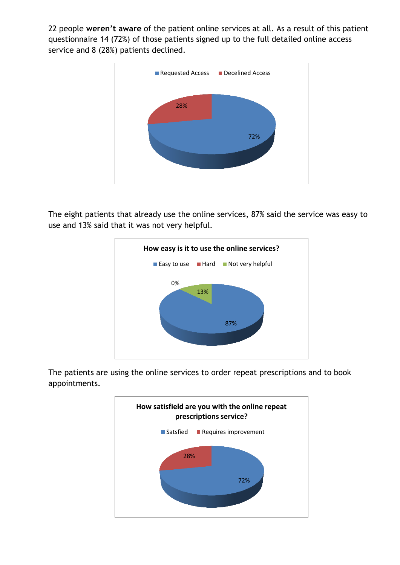22 people **weren't aware** of the patient online services at all. As a result of this patient questionnaire 14 (72%) of those patients signed up to the full detailed online access service and 8 (28%) patients declined.



The eight patients that already use the online services, 87% said the service was easy to use and 13% said that it was not very helpful.



The patients are using the online services to order repeat prescriptions and to book appointments.